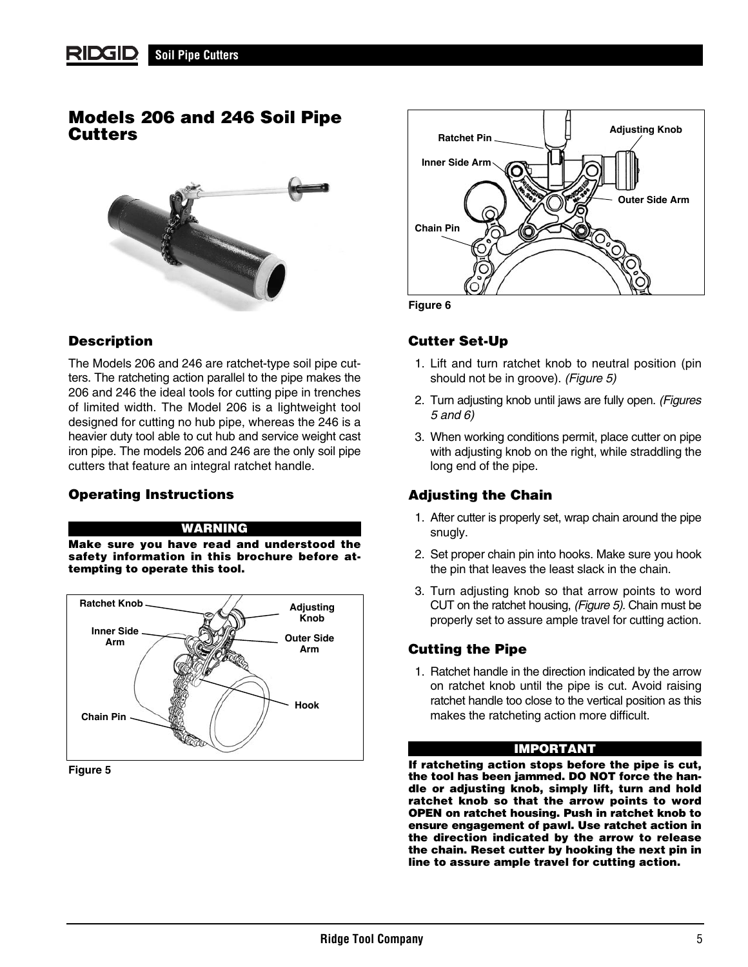#### RIDGID **Soil Pipe Cutters**

## **Models 206 and 246 Soil Pipe Cutters**



## **Description**

The Models 206 and 246 are ratchet-type soil pipe cutters. The ratcheting action parallel to the pipe makes the 206 and 246 the ideal tools for cutting pipe in trenches of limited width. The Model 206 is a lightweight tool designed for cutting no hub pipe, whereas the 246 is a heavier duty tool able to cut hub and service weight cast iron pipe. The models 206 and 246 are the only soil pipe cutters that feature an integral ratchet handle.

## **Operating Instructions**

#### **WARNING**

**Make sure you have read and understood the safety information in this brochure before attempting to operate this tool.**



#### **Figure 5**



**Figure 6**

## **Cutter Set-Up**

- 1. Lift and turn ratchet knob to neutral position (pin should not be in groove). (Figure 5)
- 2. Turn adjusting knob until jaws are fully open. (Figures 5 and 6)
- 3. When working conditions permit, place cutter on pipe with adjusting knob on the right, while straddling the long end of the pipe.

## **Adjusting the Chain**

- 1. After cutter is properly set, wrap chain around the pipe snugly.
- 2. Set proper chain pin into hooks. Make sure you hook the pin that leaves the least slack in the chain.
- 3. Turn adjusting knob so that arrow points to word CUT on the ratchet housing, (Figure 5). Chain must be properly set to assure ample travel for cutting action.

## **Cutting the Pipe**

1. Ratchet handle in the direction indicated by the arrow on ratchet knob until the pipe is cut. Avoid raising ratchet handle too close to the vertical position as this makes the ratcheting action more difficult.

### **IMPORTANT**

**If ratcheting action stops before the pipe is cut, the tool has been jammed. DO NOT force the handle or adjusting knob, simply lift, turn and hold ratchet knob so that the arrow points to word OPEN on ratchet housing. Push in ratchet knob to ensure engagement of pawl. Use ratchet action in the direction indicated by the arrow to release the chain. Reset cutter by hooking the next pin in line to assure ample travel for cutting action.**